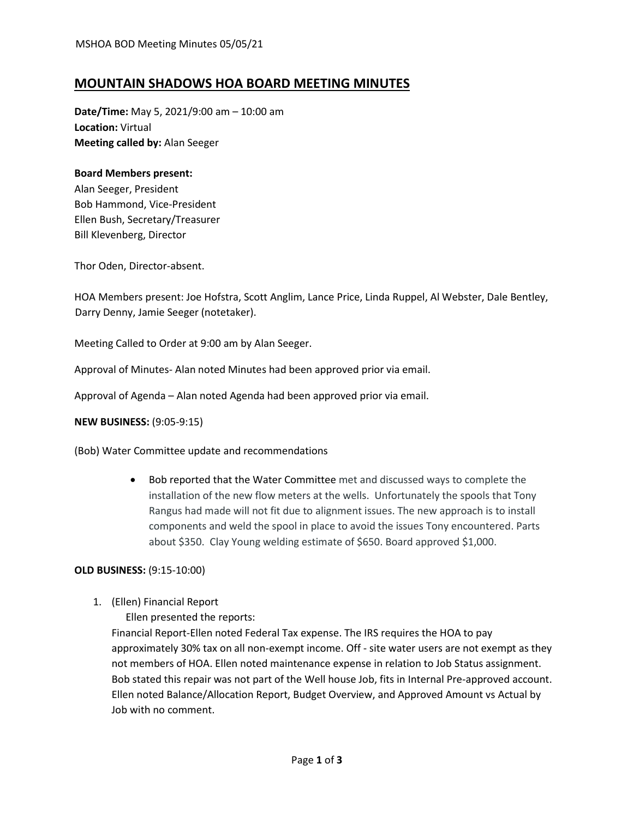# **MOUNTAIN SHADOWS HOA BOARD MEETING MINUTES**

**Date/Time:** May 5, 2021/9:00 am – 10:00 am **Location:** Virtual **Meeting called by:** Alan Seeger

### **Board Members present:**

Alan Seeger, President Bob Hammond, Vice-President Ellen Bush, Secretary/Treasurer Bill Klevenberg, Director

Thor Oden, Director-absent.

HOA Members present: Joe Hofstra, Scott Anglim, Lance Price, Linda Ruppel, Al Webster, Dale Bentley, Darry Denny, Jamie Seeger (notetaker).

Meeting Called to Order at 9:00 am by Alan Seeger.

Approval of Minutes- Alan noted Minutes had been approved prior via email.

Approval of Agenda – Alan noted Agenda had been approved prior via email.

#### **NEW BUSINESS:** (9:05-9:15)

(Bob) Water Committee update and recommendations

• Bob reported that the Water Committee met and discussed ways to complete the installation of the new flow meters at the wells. Unfortunately the spools that Tony Rangus had made will not fit due to alignment issues. The new approach is to install components and weld the spool in place to avoid the issues Tony encountered. Parts about \$350. Clay Young welding estimate of \$650. Board approved \$1,000.

#### **OLD BUSINESS:** (9:15-10:00)

1. (Ellen) Financial Report

Ellen presented the reports:

Financial Report-Ellen noted Federal Tax expense. The IRS requires the HOA to pay approximately 30% tax on all non-exempt income. Off - site water users are not exempt as they not members of HOA. Ellen noted maintenance expense in relation to Job Status assignment. Bob stated this repair was not part of the Well house Job, fits in Internal Pre-approved account. Ellen noted Balance/Allocation Report, Budget Overview, and Approved Amount vs Actual by Job with no comment.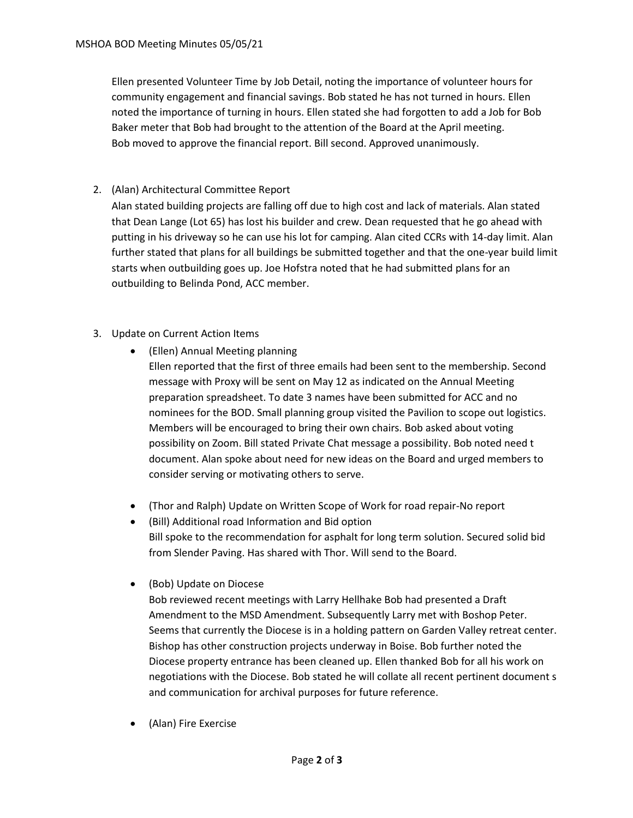Ellen presented Volunteer Time by Job Detail, noting the importance of volunteer hours for community engagement and financial savings. Bob stated he has not turned in hours. Ellen noted the importance of turning in hours. Ellen stated she had forgotten to add a Job for Bob Baker meter that Bob had brought to the attention of the Board at the April meeting. Bob moved to approve the financial report. Bill second. Approved unanimously.

# 2. (Alan) Architectural Committee Report

Alan stated building projects are falling off due to high cost and lack of materials. Alan stated that Dean Lange (Lot 65) has lost his builder and crew. Dean requested that he go ahead with putting in his driveway so he can use his lot for camping. Alan cited CCRs with 14-day limit. Alan further stated that plans for all buildings be submitted together and that the one-year build limit starts when outbuilding goes up. Joe Hofstra noted that he had submitted plans for an outbuilding to Belinda Pond, ACC member.

# 3. Update on Current Action Items

- (Ellen) Annual Meeting planning Ellen reported that the first of three emails had been sent to the membership. Second message with Proxy will be sent on May 12 as indicated on the Annual Meeting preparation spreadsheet. To date 3 names have been submitted for ACC and no nominees for the BOD. Small planning group visited the Pavilion to scope out logistics. Members will be encouraged to bring their own chairs. Bob asked about voting possibility on Zoom. Bill stated Private Chat message a possibility. Bob noted need t document. Alan spoke about need for new ideas on the Board and urged members to
	- (Thor and Ralph) Update on Written Scope of Work for road repair-No report

consider serving or motivating others to serve.

- (Bill) Additional road Information and Bid option Bill spoke to the recommendation for asphalt for long term solution. Secured solid bid from Slender Paving. Has shared with Thor. Will send to the Board.
- (Bob) Update on Diocese

Bob reviewed recent meetings with Larry Hellhake Bob had presented a Draft Amendment to the MSD Amendment. Subsequently Larry met with Boshop Peter. Seems that currently the Diocese is in a holding pattern on Garden Valley retreat center. Bishop has other construction projects underway in Boise. Bob further noted the Diocese property entrance has been cleaned up. Ellen thanked Bob for all his work on negotiations with the Diocese. Bob stated he will collate all recent pertinent document s and communication for archival purposes for future reference.

• (Alan) Fire Exercise